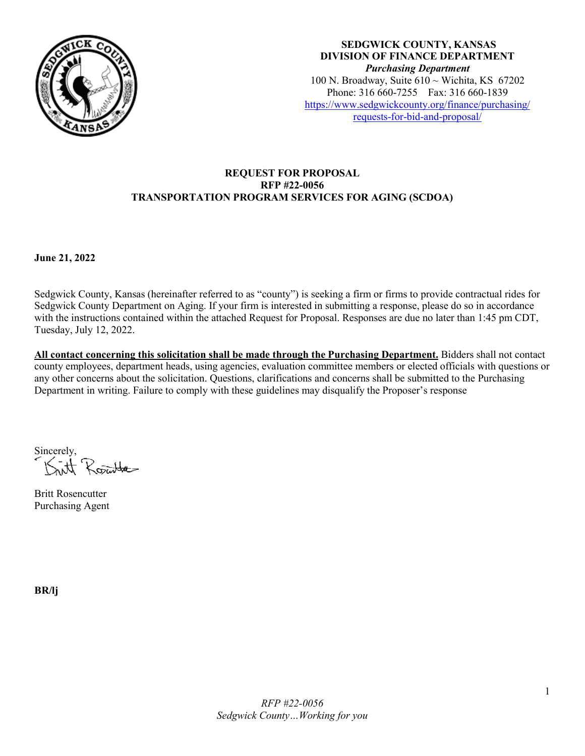

**SEDGWICK COUNTY, KANSAS DIVISION OF FINANCE DEPARTMENT** *Purchasing Department* 100 N. Broadway, Suite  $610 \sim$  Wichita, KS 67202 Phone: 316 660-7255 Fax: 316 660-1839 [https://www.sedgwickcounty.org/finance/purchasing/](https://www.sedgwickcounty.org/finance/purchasing/requests-for-bid-and-proposal/)  [requests-for-bid-and-proposal/](https://www.sedgwickcounty.org/finance/purchasing/requests-for-bid-and-proposal/)

### **REQUEST FOR PROPOSAL RFP #22-0056 TRANSPORTATION PROGRAM SERVICES FOR AGING (SCDOA)**

**June 21, 2022** 

Sedgwick County, Kansas (hereinafter referred to as "county") is seeking a firm or firms to provide contractual rides for Sedgwick County Department on Aging. If your firm is interested in submitting a response, please do so in accordance with the instructions contained within the attached Request for Proposal. Responses are due no later than 1:45 pm CDT, Tuesday, July 12, 2022.

**All contact concerning this solicitation shall be made through the Purchasing Department.** Bidders shall not contact county employees, department heads, using agencies, evaluation committee members or elected officials with questions or any other concerns about the solicitation. Questions, clarifications and concerns shall be submitted to the Purchasing Department in writing. Failure to comply with these guidelines may disqualify the Proposer's response

Sincerely, Rojutte

Britt Rosencutter Purchasing Agent

**BR/lj**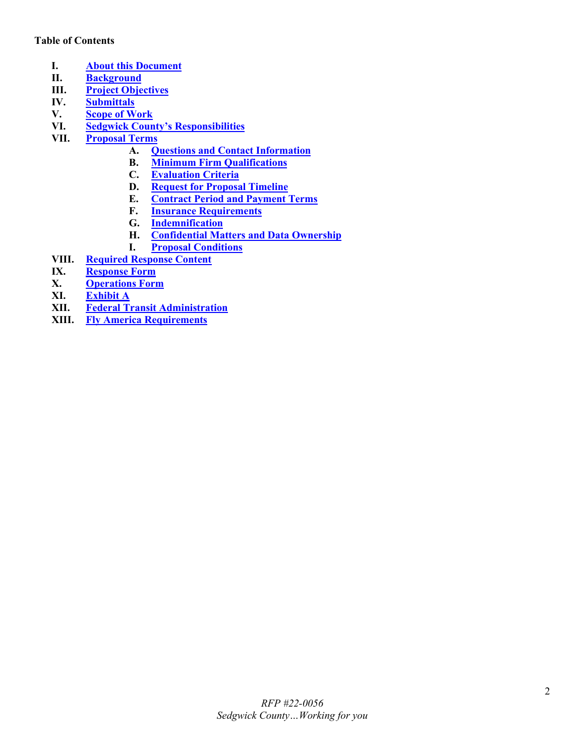### **Table of Contents**

- <span id="page-1-0"></span>**I. [About this Document](#page-2-0)**
- <span id="page-1-1"></span>**II. [Background](#page-2-1)**<br>**III. Project Obje**
- <span id="page-1-3"></span><span id="page-1-2"></span>**[Project Objectives](#page-2-2)**
- **IV. [Submittals](#page-2-3)**
- **V. [Scope of Work](#page-3-0)**
- <span id="page-1-6"></span><span id="page-1-5"></span><span id="page-1-4"></span>**VI. [Sedgwick County's Responsibilities](#page-4-0)**
- <span id="page-1-10"></span><span id="page-1-9"></span><span id="page-1-8"></span><span id="page-1-7"></span>**VII. [Proposal Terms](#page-4-1)**
	- **A. [Questions and Contact Information](#page-4-2)**
	- **B. [Minimum Firm Qualifications](#page-4-3)**
	- **C. [Evaluation Criteria](#page-5-0)**
	- **D. [Request for Proposal Timeline](#page-6-0)**
	- **E. [Contract Period and Payment Terms](#page-6-1)**
	- **F. [Insurance Requirements](#page-6-2)**
	- **G. [Indemnification](#page-7-0)**
	- **H. [Confidential Matters and Data Ownership](#page-7-1)**
	- **I. [Proposal Conditions](#page-7-2)**
- <span id="page-1-15"></span><span id="page-1-14"></span><span id="page-1-13"></span><span id="page-1-12"></span><span id="page-1-11"></span>**VIII. [Required Response Content](#page-7-3)**
- <span id="page-1-16"></span>**IX. [Response Form](#page-9-0)**<br>**X. Operations Form**
- <span id="page-1-18"></span><span id="page-1-17"></span>**X. [Operations Form](#page-10-0)**
- **XI. [Exhibit A](#page-12-0)**
- <span id="page-1-19"></span>**XII. [Federal Transit Administration](#page-13-0)**
- <span id="page-1-20"></span>**XIII. [Fly America Requirements](#page-14-0)**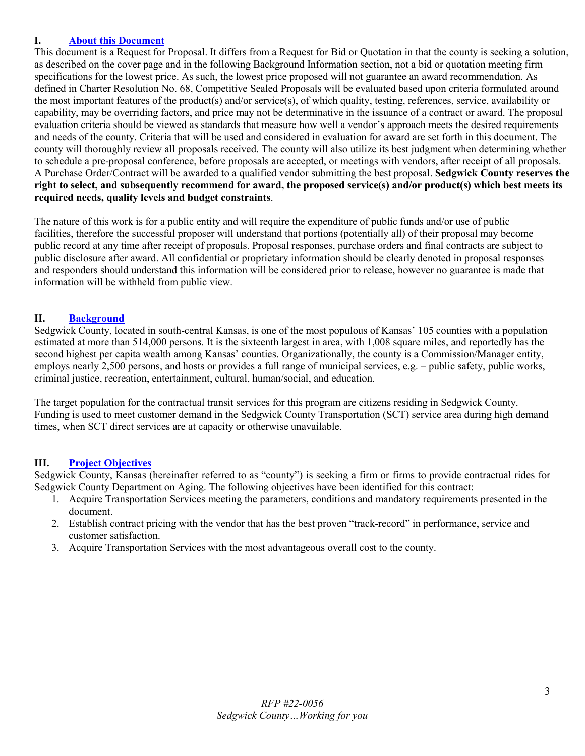### <span id="page-2-0"></span>**I. [About this Document](#page-1-0)**

This document is a Request for Proposal. It differs from a Request for Bid or Quotation in that the county is seeking a solution, as described on the cover page and in the following Background Information section, not a bid or quotation meeting firm specifications for the lowest price. As such, the lowest price proposed will not guarantee an award recommendation. As defined in Charter Resolution No. 68, Competitive Sealed Proposals will be evaluated based upon criteria formulated around the most important features of the product(s) and/or service(s), of which quality, testing, references, service, availability or capability, may be overriding factors, and price may not be determinative in the issuance of a contract or award. The proposal evaluation criteria should be viewed as standards that measure how well a vendor's approach meets the desired requirements and needs of the county. Criteria that will be used and considered in evaluation for award are set forth in this document. The county will thoroughly review all proposals received. The county will also utilize its best judgment when determining whether to schedule a pre-proposal conference, before proposals are accepted, or meetings with vendors, after receipt of all proposals. A Purchase Order/Contract will be awarded to a qualified vendor submitting the best proposal. **Sedgwick County reserves the right to select, and subsequently recommend for award, the proposed service(s) and/or product(s) which best meets its required needs, quality levels and budget constraints**.

The nature of this work is for a public entity and will require the expenditure of public funds and/or use of public facilities, therefore the successful proposer will understand that portions (potentially all) of their proposal may become public record at any time after receipt of proposals. Proposal responses, purchase orders and final contracts are subject to public disclosure after award. All confidential or proprietary information should be clearly denoted in proposal responses and responders should understand this information will be considered prior to release, however no guarantee is made that information will be withheld from public view.

### <span id="page-2-1"></span>**II. [Background](#page-1-1)**

Sedgwick County, located in south-central Kansas, is one of the most populous of Kansas' 105 counties with a population estimated at more than 514,000 persons. It is the sixteenth largest in area, with 1,008 square miles, and reportedly has the second highest per capita wealth among Kansas' counties. Organizationally, the county is a Commission/Manager entity, employs nearly 2,500 persons, and hosts or provides a full range of municipal services, e.g. – public safety, public works, criminal justice, recreation, entertainment, cultural, human/social, and education.

The target population for the contractual transit services for this program are citizens residing in Sedgwick County. Funding is used to meet customer demand in the Sedgwick County Transportation (SCT) service area during high demand times, when SCT direct services are at capacity or otherwise unavailable.

### <span id="page-2-2"></span>**III. [Project Objectives](#page-1-2)**

Sedgwick County, Kansas (hereinafter referred to as "county") is seeking a firm or firms to provide contractual rides for Sedgwick County Department on Aging. The following objectives have been identified for this contract:

- 1. Acquire Transportation Services meeting the parameters, conditions and mandatory requirements presented in the document.
- 2. Establish contract pricing with the vendor that has the best proven "track-record" in performance, service and customer satisfaction.
- <span id="page-2-3"></span>3. Acquire Transportation Services with the most advantageous overall cost to the county.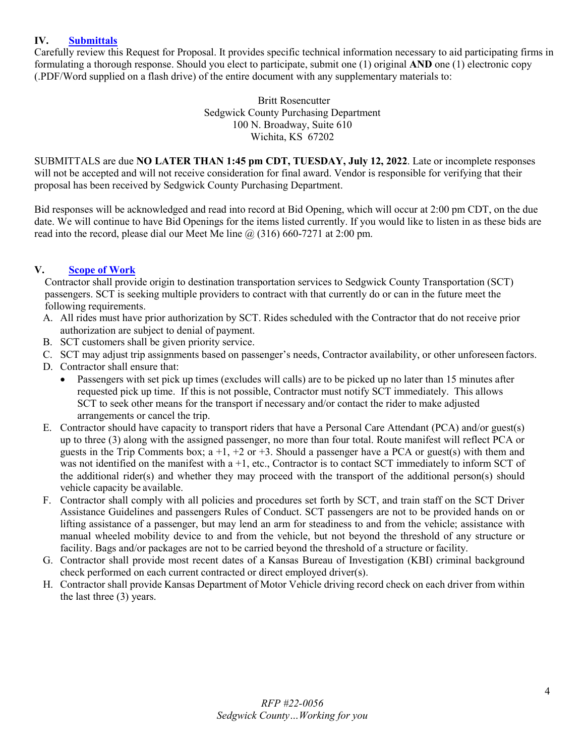### **IV. [Submittals](#page-1-3)**

Carefully review this Request for Proposal. It provides specific technical information necessary to aid participating firms in formulating a thorough response. Should you elect to participate, submit one (1) original **AND** one (1) electronic copy (.PDF/Word supplied on a flash drive) of the entire document with any supplementary materials to:

> Britt Rosencutter Sedgwick County Purchasing Department 100 N. Broadway, Suite 610 Wichita, KS 67202

SUBMITTALS are due **NO LATER THAN 1:45 pm CDT, TUESDAY, July 12, 2022**. Late or incomplete responses will not be accepted and will not receive consideration for final award. Vendor is responsible for verifying that their proposal has been received by Sedgwick County Purchasing Department.

Bid responses will be acknowledged and read into record at Bid Opening, which will occur at 2:00 pm CDT, on the due date. We will continue to have Bid Openings for the items listed currently. If you would like to listen in as these bids are read into the record, please dial our Meet Me line  $\omega$  (316) 660-7271 at 2:00 pm.

### **V. [Scope of Work](#page-1-4)**

<span id="page-3-0"></span>Contractor shall provide origin to destination transportation services to Sedgwick County Transportation (SCT) passengers. SCT is seeking multiple providers to contract with that currently do or can in the future meet the following requirements.

- A. All rides must have prior authorization by SCT. Rides scheduled with the Contractor that do not receive prior authorization are subject to denial of payment.
- B. SCT customers shall be given priority service.
- C. SCT may adjust trip assignments based on passenger's needs, Contractor availability, or other unforeseen factors.
- D. Contractor shall ensure that:
	- Passengers with set pick up times (excludes will calls) are to be picked up no later than 15 minutes after requested pick up time. If this is not possible, Contractor must notify SCT immediately. This allows SCT to seek other means for the transport if necessary and/or contact the rider to make adjusted arrangements or cancel the trip.
- E. Contractor should have capacity to transport riders that have a Personal Care Attendant (PCA) and/or guest(s) up to three (3) along with the assigned passenger, no more than four total. Route manifest will reflect PCA or guests in the Trip Comments box;  $a +1$ ,  $+2$  or  $+3$ . Should a passenger have a PCA or guest(s) with them and was not identified on the manifest with a +1, etc., Contractor is to contact SCT immediately to inform SCT of the additional rider(s) and whether they may proceed with the transport of the additional person(s) should vehicle capacity be available.
- F. Contractor shall comply with all policies and procedures set forth by SCT, and train staff on the SCT Driver Assistance Guidelines and passengers Rules of Conduct. SCT passengers are not to be provided hands on or lifting assistance of a passenger, but may lend an arm for steadiness to and from the vehicle; assistance with manual wheeled mobility device to and from the vehicle, but not beyond the threshold of any structure or facility. Bags and/or packages are not to be carried beyond the threshold of a structure or facility.
- G. Contractor shall provide most recent dates of a Kansas Bureau of Investigation (KBI) criminal background check performed on each current contracted or direct employed driver(s).
- H. Contractor shall provide Kansas Department of Motor Vehicle driving record check on each driver from within the last three (3) years.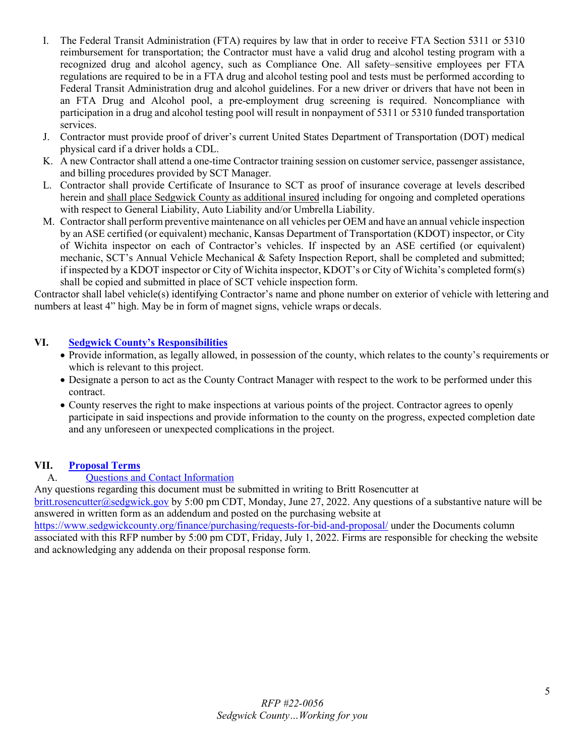- I. The Federal Transit Administration (FTA) requires by law that in order to receive FTA Section 5311 or 5310 reimbursement for transportation; the Contractor must have a valid drug and alcohol testing program with a recognized drug and alcohol agency, such as Compliance One. All safety–sensitive employees per FTA regulations are required to be in a FTA drug and alcohol testing pool and tests must be performed according to Federal Transit Administration drug and alcohol guidelines. For a new driver or drivers that have not been in an FTA Drug and Alcohol pool, a pre-employment drug screening is required. Noncompliance with participation in a drug and alcohol testing pool will result in nonpayment of 5311 or 5310 funded transportation services.
- J. Contractor must provide proof of driver's current United States Department of Transportation (DOT) medical physical card if a driver holds a CDL.
- K. A new Contractor shall attend a one-time Contractor training session on customer service, passenger assistance, and billing procedures provided by SCT Manager.
- L. Contractor shall provide Certificate of Insurance to SCT as proof of insurance coverage at levels described herein and shall place Sedgwick County as additional insured including for ongoing and completed operations with respect to General Liability, Auto Liability and/or Umbrella Liability.
- M. Contractor shall perform preventive maintenance on all vehicles per OEM and have an annual vehicle inspection by an ASE certified (or equivalent) mechanic, Kansas Department of Transportation (KDOT) inspector, or City of Wichita inspector on each of Contractor's vehicles. If inspected by an ASE certified (or equivalent) mechanic, SCT's Annual Vehicle Mechanical & Safety Inspection Report, shall be completed and submitted; if inspected by a KDOT inspector or City of Wichita inspector, KDOT's or City of Wichita's completed form(s) shall be copied and submitted in place of SCT vehicle inspection form.

Contractor shall label vehicle(s) identifying Contractor's name and phone number on exterior of vehicle with lettering and numbers at least 4" high. May be in form of magnet signs, vehicle wraps or decals.

### **VI. [Sedgwick County's Responsibilities](#page-1-5)**

- <span id="page-4-0"></span>• Provide information, as legally allowed, in possession of the county, which relates to the county's requirements or which is relevant to this project.
- Designate a person to act as the County Contract Manager with respect to the work to be performed under this contract.
- County reserves the right to make inspections at various points of the project. Contractor agrees to openly participate in said inspections and provide information to the county on the progress, expected completion date and any unforeseen or unexpected complications in the project.

### <span id="page-4-2"></span>**VII. [Proposal Terms](#page-1-6)**

### <span id="page-4-1"></span>A. [Questions and Contact Information](#page-1-7)

Any questions regarding this document must be submitted in writing to Britt Rosencutter at

[britt.rosencutter@sedgwick.gov](mailto:britt.rosencutter@sedgwick.gov) by 5:00 pm CDT, Monday, June 27, 2022. Any questions of a substantive nature will be answered in written form as an addendum and posted on the purchasing website at

<span id="page-4-3"></span><https://www.sedgwickcounty.org/finance/purchasing/requests-for-bid-and-proposal/>under the Documents column associated with this RFP number by 5:00 pm CDT, Friday, July 1, 2022. Firms are responsible for checking the website and acknowledging any addenda on their proposal response form.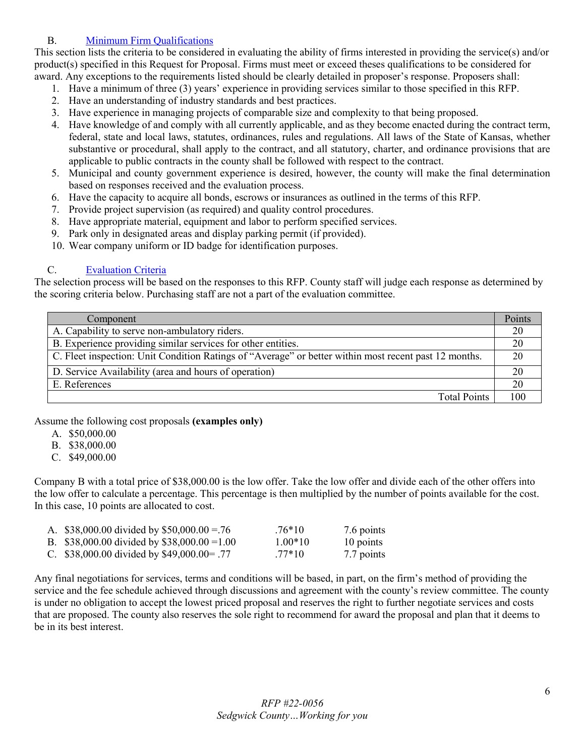### B. Minimum [Firm Qualifications](#page-1-8)

This section lists the criteria to be considered in evaluating the ability of firms interested in providing the service(s) and/or product(s) specified in this Request for Proposal. Firms must meet or exceed theses qualifications to be considered for award. Any exceptions to the requirements listed should be clearly detailed in proposer's response. Proposers shall:

- 1. Have a minimum of three (3) years' experience in providing services similar to those specified in this RFP.
- 2. Have an understanding of industry standards and best practices.
- 3. Have experience in managing projects of comparable size and complexity to that being proposed.
- 4. Have knowledge of and comply with all currently applicable, and as they become enacted during the contract term, federal, state and local laws, statutes, ordinances, rules and regulations. All laws of the State of Kansas, whether substantive or procedural, shall apply to the contract, and all statutory, charter, and ordinance provisions that are applicable to public contracts in the county shall be followed with respect to the contract.
- 5. Municipal and county government experience is desired, however, the county will make the final determination based on responses received and the evaluation process.
- 6. Have the capacity to acquire all bonds, escrows or insurances as outlined in the terms of this RFP.
- 7. Provide project supervision (as required) and quality control procedures.
- 8. Have appropriate material, equipment and labor to perform specified services.
- 9. Park only in designated areas and display parking permit (if provided).
- 10. Wear company uniform or ID badge for identification purposes.

### <span id="page-5-0"></span>C. [Evaluation Criteria](#page-1-9)

The selection process will be based on the responses to this RFP. County staff will judge each response as determined by the scoring criteria below. Purchasing staff are not a part of the evaluation committee.

| Component                                                                                             | Points |
|-------------------------------------------------------------------------------------------------------|--------|
| A. Capability to serve non-ambulatory riders.                                                         | 20     |
| B. Experience providing similar services for other entities.                                          | 20     |
| C. Fleet inspection: Unit Condition Ratings of "Average" or better within most recent past 12 months. | 20     |
| D. Service Availability (area and hours of operation)                                                 | 20     |
| E. References                                                                                         | 20     |
| <b>Total Points</b>                                                                                   | 100    |

Assume the following cost proposals **(examples only)**

- A. \$50,000.00
- B. \$38,000.00
- C. \$49,000.00

Company B with a total price of \$38,000.00 is the low offer. Take the low offer and divide each of the other offers into the low offer to calculate a percentage. This percentage is then multiplied by the number of points available for the cost. In this case, 10 points are allocated to cost.

| A. \$38,000.00 divided by \$50,000.00 = 76   | $.76*10$  | 7.6 points |
|----------------------------------------------|-----------|------------|
| B. \$38,000.00 divided by \$38,000.00 = 1.00 | $1.00*10$ | 10 points  |
| C. \$38,000.00 divided by \$49,000.00 = .77  | $.77*10$  | 7.7 points |

Any final negotiations for services, terms and conditions will be based, in part, on the firm's method of providing the service and the fee schedule achieved through discussions and agreement with the county's review committee. The county is under no obligation to accept the lowest priced proposal and reserves the right to further negotiate services and costs that are proposed. The county also reserves the sole right to recommend for award the proposal and plan that it deems to be in its best interest.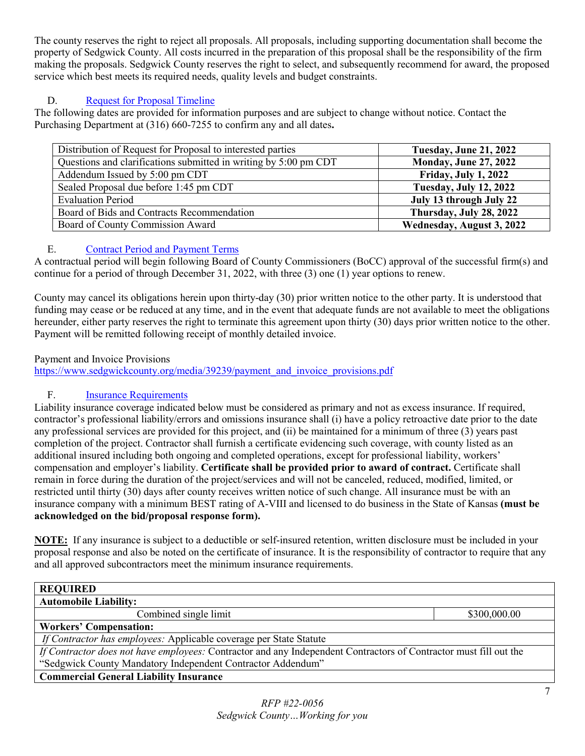The county reserves the right to reject all proposals. All proposals, including supporting documentation shall become the property of Sedgwick County. All costs incurred in the preparation of this proposal shall be the responsibility of the firm making the proposals. Sedgwick County reserves the right to select, and subsequently recommend for award, the proposed service which best meets its required needs, quality levels and budget constraints.

### <span id="page-6-0"></span>D. [Request for Proposal Timeline](#page-1-9)

The following dates are provided for information purposes and are subject to change without notice. Contact the Purchasing Department at (316) 660-7255 to confirm any and all dates**.** 

| Distribution of Request for Proposal to interested parties       | Tuesday, June 21, 2022        |
|------------------------------------------------------------------|-------------------------------|
| Questions and clarifications submitted in writing by 5:00 pm CDT | <b>Monday, June 27, 2022</b>  |
| Addendum Issued by 5:00 pm CDT                                   | <b>Friday, July 1, 2022</b>   |
| Sealed Proposal due before 1:45 pm CDT                           | <b>Tuesday, July 12, 2022</b> |
| <b>Evaluation Period</b>                                         | July 13 through July 22       |
| Board of Bids and Contracts Recommendation                       | Thursday, July 28, 2022       |
| Board of County Commission Award                                 | Wednesday, August 3, 2022     |

### <span id="page-6-1"></span>E. [Contract Period and Payment Terms](#page-1-10)

A contractual period will begin following Board of County Commissioners (BoCC) approval of the successful firm(s) and continue for a period of through December 31, 2022, with three (3) one (1) year options to renew.

County may cancel its obligations herein upon thirty-day (30) prior written notice to the other party. It is understood that funding may cease or be reduced at any time, and in the event that adequate funds are not available to meet the obligations hereunder, either party reserves the right to terminate this agreement upon thirty (30) days prior written notice to the other. Payment will be remitted following receipt of monthly detailed invoice.

### Payment and Invoice Provisions

[https://www.sedgwickcounty.org/media/39239/payment\\_and\\_invoice\\_provisions.pdf](https://www.sedgwickcounty.org/media/39239/payment_and_invoice_provisions.pdf)

### <span id="page-6-2"></span>F. [Insurance Requirements](#page-1-11)

Liability insurance coverage indicated below must be considered as primary and not as excess insurance. If required, contractor's professional liability/errors and omissions insurance shall (i) have a policy retroactive date prior to the date any professional services are provided for this project, and (ii) be maintained for a minimum of three (3) years past completion of the project. Contractor shall furnish a certificate evidencing such coverage, with county listed as an additional insured including both ongoing and completed operations, except for professional liability, workers' compensation and employer's liability. **Certificate shall be provided prior to award of contract.** Certificate shall remain in force during the duration of the project/services and will not be canceled, reduced, modified, limited, or restricted until thirty (30) days after county receives written notice of such change. All insurance must be with an insurance company with a minimum BEST rating of A-VIII and licensed to do business in the State of Kansas **(must be acknowledged on the bid/proposal response form).**

**NOTE:** If any insurance is subject to a deductible or self-insured retention, written disclosure must be included in your proposal response and also be noted on the certificate of insurance. It is the responsibility of contractor to require that any and all approved subcontractors meet the minimum insurance requirements.

| <b>REQUIRED</b>                                                                                                   |              |
|-------------------------------------------------------------------------------------------------------------------|--------------|
| <b>Automobile Liability:</b>                                                                                      |              |
| Combined single limit                                                                                             | \$300,000.00 |
| <b>Workers' Compensation:</b>                                                                                     |              |
| If Contractor has employees: Applicable coverage per State Statute                                                |              |
| If Contractor does not have employees: Contractor and any Independent Contractors of Contractor must fill out the |              |
| "Sedgwick County Mandatory Independent Contractor Addendum"                                                       |              |
| <b>Commercial General Liability Insurance</b>                                                                     |              |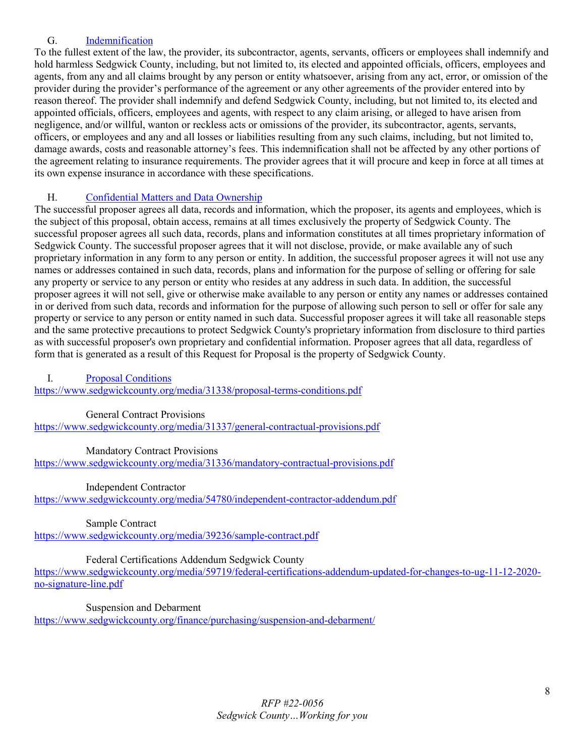### <span id="page-7-0"></span>G. [Indemnification](#page-1-12)

To the fullest extent of the law, the provider, its subcontractor, agents, servants, officers or employees shall indemnify and hold harmless Sedgwick County, including, but not limited to, its elected and appointed officials, officers, employees and agents, from any and all claims brought by any person or entity whatsoever, arising from any act, error, or omission of the provider during the provider's performance of the agreement or any other agreements of the provider entered into by reason thereof. The provider shall indemnify and defend Sedgwick County, including, but not limited to, its elected and appointed officials, officers, employees and agents, with respect to any claim arising, or alleged to have arisen from negligence, and/or willful, wanton or reckless acts or omissions of the provider, its subcontractor, agents, servants, officers, or employees and any and all losses or liabilities resulting from any such claims, including, but not limited to, damage awards, costs and reasonable attorney's fees. This indemnification shall not be affected by any other portions of the agreement relating to insurance requirements. The provider agrees that it will procure and keep in force at all times at its own expense insurance in accordance with these specifications.

### <span id="page-7-1"></span>H. [Confidential Matters and Data Ownership](#page-1-13)

The successful proposer agrees all data, records and information, which the proposer, its agents and employees, which is the subject of this proposal, obtain access, remains at all times exclusively the property of Sedgwick County. The successful proposer agrees all such data, records, plans and information constitutes at all times proprietary information of Sedgwick County. The successful proposer agrees that it will not disclose, provide, or make available any of such proprietary information in any form to any person or entity. In addition, the successful proposer agrees it will not use any names or addresses contained in such data, records, plans and information for the purpose of selling or offering for sale any property or service to any person or entity who resides at any address in such data. In addition, the successful proposer agrees it will not sell, give or otherwise make available to any person or entity any names or addresses contained in or derived from such data, records and information for the purpose of allowing such person to sell or offer for sale any property or service to any person or entity named in such data. Successful proposer agrees it will take all reasonable steps and the same protective precautions to protect Sedgwick County's proprietary information from disclosure to third parties as with successful proposer's own proprietary and confidential information. Proposer agrees that all data, regardless of form that is generated as a result of this Request for Proposal is the property of Sedgwick County.

<span id="page-7-2"></span>I. [Proposal Conditions](#page-1-14)

<https://www.sedgwickcounty.org/media/31338/proposal-terms-conditions.pdf>

### General Contract Provisions

<https://www.sedgwickcounty.org/media/31337/general-contractual-provisions.pdf>

Mandatory Contract Provisions

<https://www.sedgwickcounty.org/media/31336/mandatory-contractual-provisions.pdf>

Independent Contractor

<https://www.sedgwickcounty.org/media/54780/independent-contractor-addendum.pdf>

Sample Contract

<https://www.sedgwickcounty.org/media/39236/sample-contract.pdf>

### Federal Certifications Addendum Sedgwick County

[https://www.sedgwickcounty.org/media/59719/federal-certifications-addendum-updated-for-changes-to-ug-11-12-2020](https://www.sedgwickcounty.org/media/59719/federal-certifications-addendum-updated-for-changes-to-ug-11-12-2020-no-signature-line.pdf) [no-signature-line.pdf](https://www.sedgwickcounty.org/media/59719/federal-certifications-addendum-updated-for-changes-to-ug-11-12-2020-no-signature-line.pdf)

Suspension and Debarment

<span id="page-7-3"></span><https://www.sedgwickcounty.org/finance/purchasing/suspension-and-debarment/>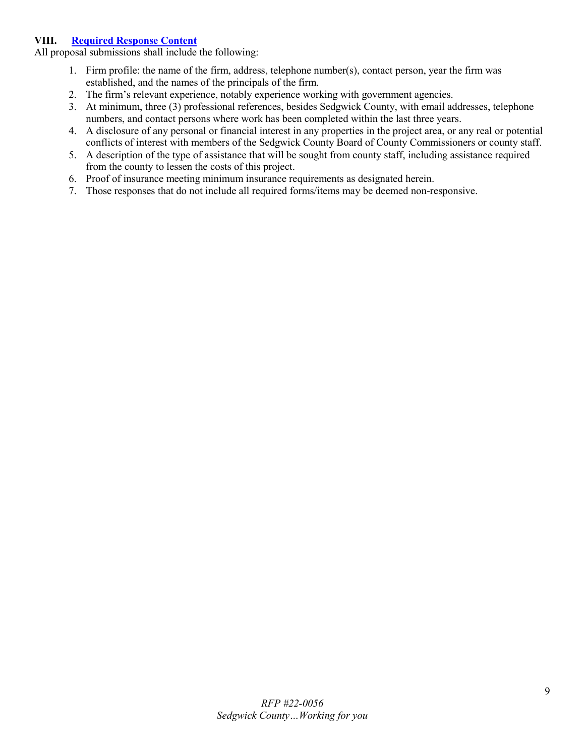### **VIII. [Required Response Content](#page-1-15)**

All proposal submissions shall include the following:

- 1. Firm profile: the name of the firm, address, telephone number(s), contact person, year the firm was established, and the names of the principals of the firm.
- 2. The firm's relevant experience, notably experience working with government agencies.
- 3. At minimum, three (3) professional references, besides Sedgwick County, with email addresses, telephone numbers, and contact persons where work has been completed within the last three years.
- 4. A disclosure of any personal or financial interest in any properties in the project area, or any real or potential conflicts of interest with members of the Sedgwick County Board of County Commissioners or county staff.
- 5. A description of the type of assistance that will be sought from county staff, including assistance required from the county to lessen the costs of this project.
- 6. Proof of insurance meeting minimum insurance requirements as designated herein.
- 7. Those responses that do not include all required forms/items may be deemed non-responsive.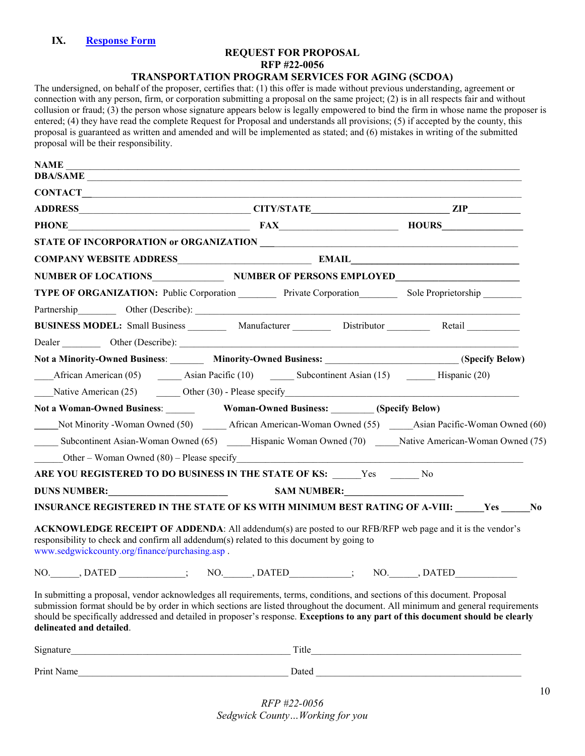### **REQUEST FOR PROPOSAL RFP #22-0056**

### <span id="page-9-0"></span>**TRANSPORTATION PROGRAM SERVICES FOR AGING (SCDOA)**

The undersigned, on behalf of the proposer, certifies that: (1) this offer is made without previous understanding, agreement or connection with any person, firm, or corporation submitting a proposal on the same project; (2) is in all respects fair and without collusion or fraud; (3) the person whose signature appears below is legally empowered to bind the firm in whose name the proposer is entered; (4) they have read the complete Request for Proposal and understands all provisions; (5) if accepted by the county, this proposal is guaranteed as written and amended and will be implemented as stated; and (6) mistakes in writing of the submitted proposal will be their responsibility.

| <b>NAME</b>                                                                                                                                                                                                                                                                                                                                                                                                                  |                                                                                                                                                                                                                               |  |
|------------------------------------------------------------------------------------------------------------------------------------------------------------------------------------------------------------------------------------------------------------------------------------------------------------------------------------------------------------------------------------------------------------------------------|-------------------------------------------------------------------------------------------------------------------------------------------------------------------------------------------------------------------------------|--|
| DBA/SAME                                                                                                                                                                                                                                                                                                                                                                                                                     |                                                                                                                                                                                                                               |  |
|                                                                                                                                                                                                                                                                                                                                                                                                                              |                                                                                                                                                                                                                               |  |
|                                                                                                                                                                                                                                                                                                                                                                                                                              |                                                                                                                                                                                                                               |  |
| PHONE HOURS HOURS                                                                                                                                                                                                                                                                                                                                                                                                            |                                                                                                                                                                                                                               |  |
|                                                                                                                                                                                                                                                                                                                                                                                                                              |                                                                                                                                                                                                                               |  |
| COMPANY WEBSITE ADDRESS EXAMPLE EXAMPLE THE EMAIL COMPANY WEBSITE ADDRESS                                                                                                                                                                                                                                                                                                                                                    |                                                                                                                                                                                                                               |  |
| NUMBER OF LOCATIONS NUMBER OF PERSONS EMPLOYED                                                                                                                                                                                                                                                                                                                                                                               |                                                                                                                                                                                                                               |  |
| TYPE OF ORGANIZATION: Public Corporation Private Corporation Sole Proprietorship ______                                                                                                                                                                                                                                                                                                                                      |                                                                                                                                                                                                                               |  |
| Partnership Other (Describe): 1997                                                                                                                                                                                                                                                                                                                                                                                           |                                                                                                                                                                                                                               |  |
| BUSINESS MODEL: Small Business __________ Manufacturer __________ Distributor _________ Retail __________                                                                                                                                                                                                                                                                                                                    |                                                                                                                                                                                                                               |  |
| Dealer Chescribe): Cher (Describe): Chescribe in the contract of the contract of the contract of the contract of the contract of the contract of the contract of the contract of the contract of the contract of the contract                                                                                                                                                                                                |                                                                                                                                                                                                                               |  |
| Not a Minority-Owned Business: Minority-Owned Business: (Specify Below)                                                                                                                                                                                                                                                                                                                                                      |                                                                                                                                                                                                                               |  |
|                                                                                                                                                                                                                                                                                                                                                                                                                              | African American (05) ________ Asian Pacific (10) _________ Subcontinent Asian (15) __________ Hispanic (20)                                                                                                                  |  |
|                                                                                                                                                                                                                                                                                                                                                                                                                              | Native American $(25)$ Other $(30)$ - Please specify                                                                                                                                                                          |  |
|                                                                                                                                                                                                                                                                                                                                                                                                                              |                                                                                                                                                                                                                               |  |
| Not Minority - Woman Owned (50) African American-Woman Owned (55) Asian Pacific-Woman Owned (60)                                                                                                                                                                                                                                                                                                                             |                                                                                                                                                                                                                               |  |
| Subcontinent Asian-Woman Owned (65) _____Hispanic Woman Owned (70) _____Native American-Woman Owned (75)                                                                                                                                                                                                                                                                                                                     |                                                                                                                                                                                                                               |  |
|                                                                                                                                                                                                                                                                                                                                                                                                                              | Other – Woman Owned $(80)$ – Please specify                                                                                                                                                                                   |  |
| ARE YOU REGISTERED TO DO BUSINESS IN THE STATE OF KS: _____ Yes ______ No                                                                                                                                                                                                                                                                                                                                                    |                                                                                                                                                                                                                               |  |
|                                                                                                                                                                                                                                                                                                                                                                                                                              |                                                                                                                                                                                                                               |  |
| INSURANCE REGISTERED IN THE STATE OF KS WITH MINIMUM BEST RATING OF A-VIII: Ves ______ No                                                                                                                                                                                                                                                                                                                                    |                                                                                                                                                                                                                               |  |
| <b>ACKNOWLEDGE RECEIPT OF ADDENDA:</b> All addendum(s) are posted to our RFB/RFP web page and it is the vendor's<br>responsibility to check and confirm all addendum(s) related to this document by going to<br>www.sedgwickcounty.org/finance/purchasing.asp.                                                                                                                                                               |                                                                                                                                                                                                                               |  |
| NO. DATED ( ; NO. , DATED : NO. , DATED : NO. , DATED : NO. , DATED                                                                                                                                                                                                                                                                                                                                                          |                                                                                                                                                                                                                               |  |
| In submitting a proposal, vendor acknowledges all requirements, terms, conditions, and sections of this document. Proposal<br>submission format should be by order in which sections are listed throughout the document. All minimum and general requirements<br>should be specifically addressed and detailed in proposer's response. Exceptions to any part of this document should be clearly<br>delineated and detailed. |                                                                                                                                                                                                                               |  |
|                                                                                                                                                                                                                                                                                                                                                                                                                              |                                                                                                                                                                                                                               |  |
| <u> 1989 - Johann Barbara, martin da basar da basar da basar da basar da basar</u><br>Print Name                                                                                                                                                                                                                                                                                                                             | Dated and the state of the state of the state of the state of the state of the state of the state of the state of the state of the state of the state of the state of the state of the state of the state of the state of the |  |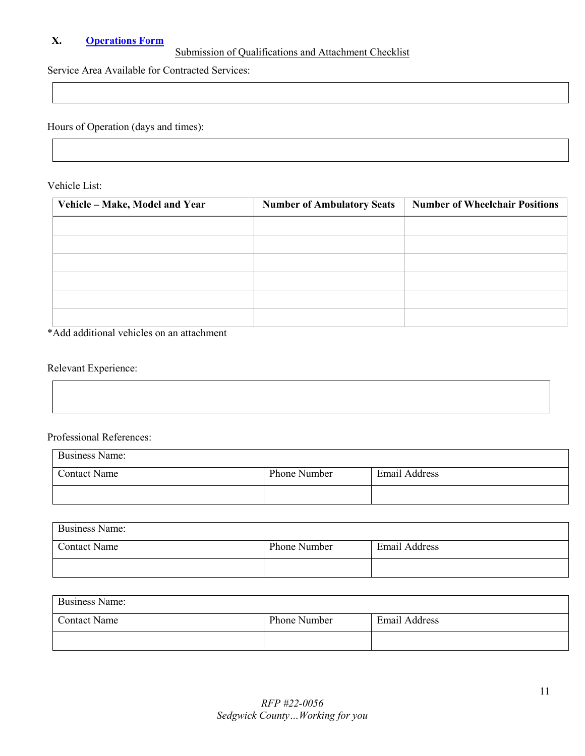### <span id="page-10-0"></span>**X. [Operations Form](#page-1-17)**

## Submission of Qualifications and Attachment Checklist

Service Area Available for Contracted Services:

Hours of Operation (days and times):

Vehicle List:

| Vehicle - Make, Model and Year | <b>Number of Ambulatory Seats</b> | <b>Number of Wheelchair Positions</b> |
|--------------------------------|-----------------------------------|---------------------------------------|
|                                |                                   |                                       |
|                                |                                   |                                       |
|                                |                                   |                                       |
|                                |                                   |                                       |
|                                |                                   |                                       |
|                                |                                   |                                       |

\*Add additional vehicles on an attachment

### Relevant Experience:

### Professional References:

| <b>Business Name:</b> |              |               |
|-----------------------|--------------|---------------|
| Contact Name          | Phone Number | Email Address |
|                       |              |               |

| <b>Business Name:</b> |              |                      |
|-----------------------|--------------|----------------------|
| <b>Contact Name</b>   | Phone Number | <b>Email Address</b> |
|                       |              |                      |

| <b>Business Name:</b> |              |               |
|-----------------------|--------------|---------------|
| Contact Name          | Phone Number | Email Address |
|                       |              |               |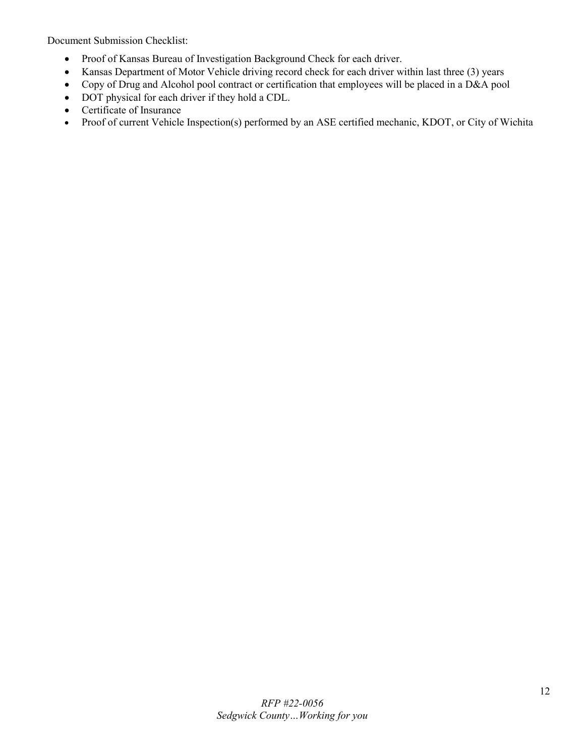Document Submission Checklist:

- Proof of Kansas Bureau of Investigation Background Check for each driver.
- Kansas Department of Motor Vehicle driving record check for each driver within last three (3) years
- Copy of Drug and Alcohol pool contract or certification that employees will be placed in a D&A pool
- DOT physical for each driver if they hold a CDL.
- Certificate of Insurance
- Proof of current Vehicle Inspection(s) performed by an ASE certified mechanic, KDOT, or City of Wichita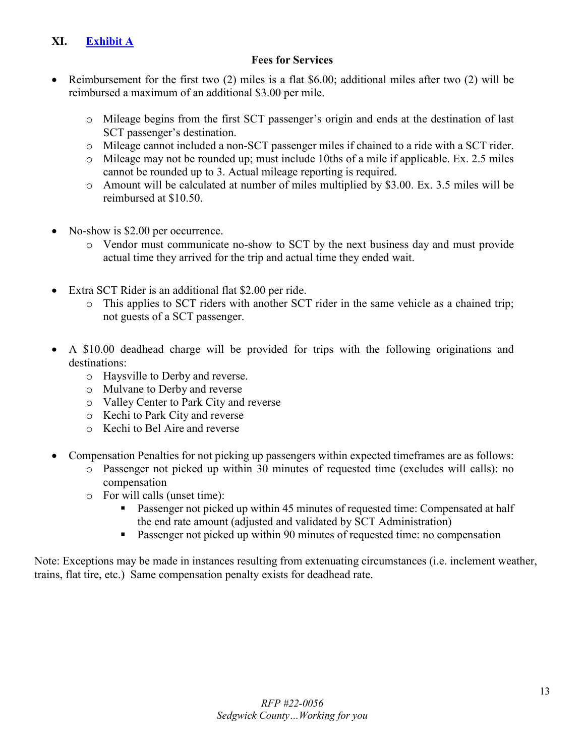## <span id="page-12-0"></span>**XI. [Exhibit A](#page-1-18)**

## **Fees for Services**

- Reimbursement for the first two (2) miles is a flat \$6.00; additional miles after two (2) will be reimbursed a maximum of an additional \$3.00 per mile.
	- o Mileage begins from the first SCT passenger's origin and ends at the destination of last SCT passenger's destination.
	- o Mileage cannot included a non-SCT passenger miles if chained to a ride with a SCT rider.
	- o Mileage may not be rounded up; must include 10ths of a mile if applicable. Ex. 2.5 miles cannot be rounded up to 3. Actual mileage reporting is required.
	- o Amount will be calculated at number of miles multiplied by \$3.00. Ex. 3.5 miles will be reimbursed at \$10.50.
- No-show is \$2.00 per occurrence.
	- o Vendor must communicate no-show to SCT by the next business day and must provide actual time they arrived for the trip and actual time they ended wait.
- Extra SCT Rider is an additional flat \$2.00 per ride.
	- o This applies to SCT riders with another SCT rider in the same vehicle as a chained trip; not guests of a SCT passenger.
- A \$10.00 deadhead charge will be provided for trips with the following originations and destinations:
	- o Haysville to Derby and reverse.
	- o Mulvane to Derby and reverse
	- o Valley Center to Park City and reverse
	- o Kechi to Park City and reverse
	- o Kechi to Bel Aire and reverse
- Compensation Penalties for not picking up passengers within expected timeframes are as follows:
	- o Passenger not picked up within 30 minutes of requested time (excludes will calls): no compensation
	- o For will calls (unset time):
		- **Passenger not picked up within 45 minutes of requested time: Compensated at half** the end rate amount (adjusted and validated by SCT Administration)
		- **Passenger not picked up within 90 minutes of requested time: no compensation**

Note: Exceptions may be made in instances resulting from extenuating circumstances (i.e. inclement weather, trains, flat tire, etc.) Same compensation penalty exists for deadhead rate.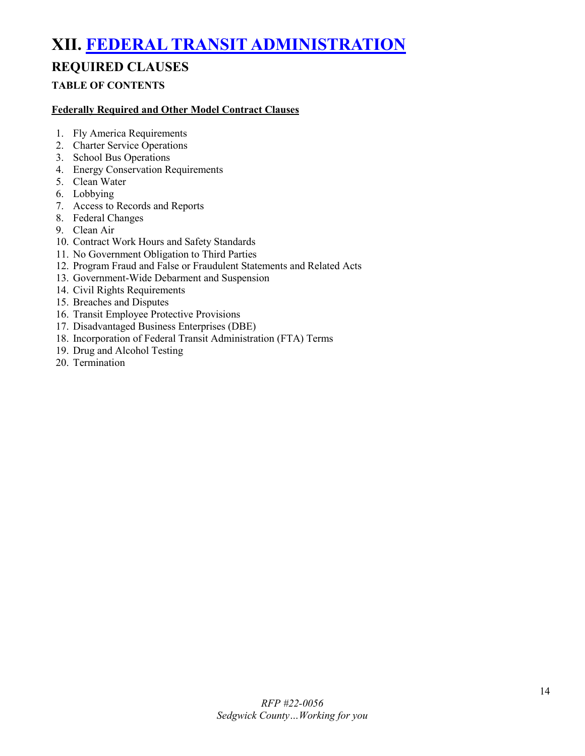# <span id="page-13-0"></span>**XII. [FEDERAL TRANSIT ADMINISTRATION](#page-1-19)**

## **REQUIRED CLAUSES**

### **TABLE OF CONTENTS**

### **Federally Required and Other Model Contract Clauses**

- 1. Fly America Requirements
- 2. Charter Service Operations
- 3. School Bus Operations
- 4. Energy Conservation Requirements
- 5. Clean Water
- 6. Lobbying
- 7. Access to Records and Reports
- 8. Federal Changes
- 9. Clean Air
- 10. Contract Work Hours and Safety Standards
- 11. No Government Obligation to Third Parties
- 12. Program Fraud and False or Fraudulent Statements and Related Acts
- 13. Government-Wide Debarment and Suspension
- 14. Civil Rights Requirements
- 15. Breaches and Disputes
- 16. Transit Employee Protective Provisions
- 17. Disadvantaged Business Enterprises (DBE)
- 18. Incorporation of Federal Transit Administration (FTA) Terms
- 19. Drug and Alcohol Testing
- 20. Termination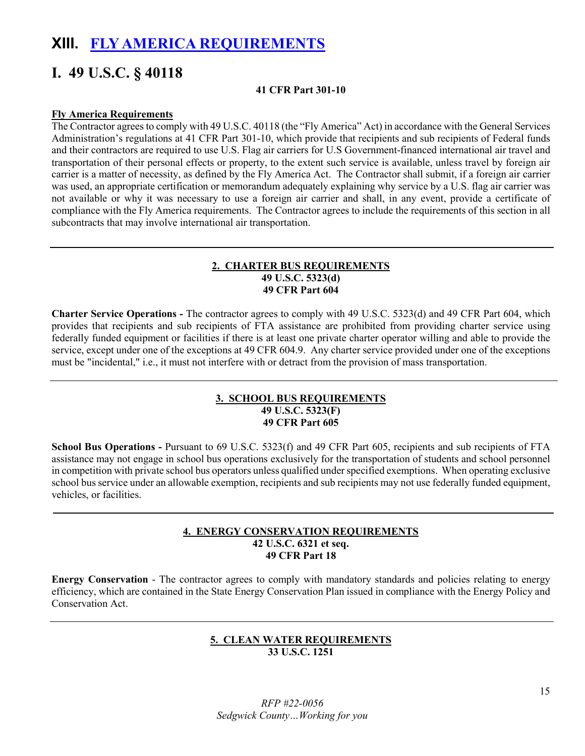## <span id="page-14-0"></span>**XIII. [FLY AMERICA REQUIREMENTS](#page-1-20)**

## **I. 49 U.S.C. § 40118**

### **41 CFR Part 301-10**

### **Fly America Requirements**

The Contractor agrees to comply with 49 U.S.C. 40118 (the "Fly America" Act) in accordance with the General Services Administration's regulations at 41 CFR Part 301-10, which provide that recipients and sub recipients of Federal funds and their contractors are required to use U.S. Flag air carriers for U.S Government-financed international air travel and transportation of their personal effects or property, to the extent such service is available, unless travel by foreign air carrier is a matter of necessity, as defined by the Fly America Act. The Contractor shall submit, if a foreign air carrier was used, an appropriate certification or memorandum adequately explaining why service by a U.S. flag air carrier was not available or why it was necessary to use a foreign air carrier and shall, in any event, provide a certificate of compliance with the Fly America requirements. The Contractor agrees to include the requirements of this section in all subcontracts that may involve international air transportation.

### **2. CHARTER BUS REQUIREMENTS 49 U.S.C. 5323(d) 49 CFR Part 604**

**Charter Service Operations -** The contractor agrees to comply with 49 U.S.C. 5323(d) and 49 CFR Part 604, which provides that recipients and sub recipients of FTA assistance are prohibited from providing charter service using federally funded equipment or facilities if there is at least one private charter operator willing and able to provide the service, except under one of the exceptions at 49 CFR 604.9. Any charter service provided under one of the exceptions must be "incidental," i.e., it must not interfere with or detract from the provision of mass transportation.

### **3. SCHOOL BUS REQUIREMENTS 49 U.S.C. 5323(F) 49 CFR Part 605**

**School Bus Operations -** Pursuant to 69 U.S.C. 5323(f) and 49 CFR Part 605, recipients and sub recipients of FTA assistance may not engage in school bus operations exclusively for the transportation of students and school personnel in competition with private school bus operators unless qualified under specified exemptions. When operating exclusive school bus service under an allowable exemption, recipients and sub recipients may not use federally funded equipment, vehicles, or facilities.

### **4. ENERGY CONSERVATION REQUIREMENTS 42 U.S.C. 6321 et seq. 49 CFR Part 18**

**Energy Conservation** - The contractor agrees to comply with mandatory standards and policies relating to energy efficiency, which are contained in the State Energy Conservation Plan issued in compliance with the Energy Policy and Conservation Act.

### **5. CLEAN WATER REQUIREMENTS 33 U.S.C. 1251**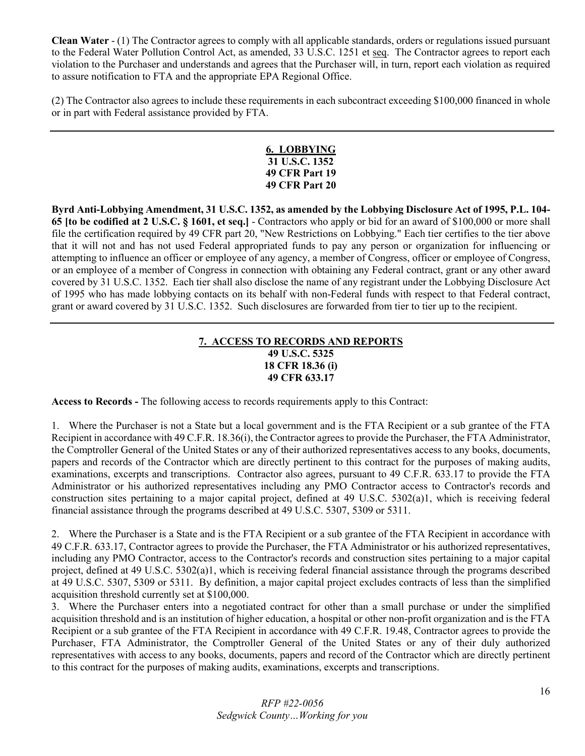**Clean Water** - (1) The Contractor agrees to comply with all applicable standards, orders or regulations issued pursuant to the Federal Water Pollution Control Act, as amended, 33 U.S.C. 1251 et seq. The Contractor agrees to report each violation to the Purchaser and understands and agrees that the Purchaser will, in turn, report each violation as required to assure notification to FTA and the appropriate EPA Regional Office.

(2) The Contractor also agrees to include these requirements in each subcontract exceeding \$100,000 financed in whole or in part with Federal assistance provided by FTA.

### **6. LOBBYING 31 U.S.C. 1352 49 CFR Part 19 49 CFR Part 20**

**Byrd Anti-Lobbying Amendment, 31 U.S.C. 1352, as amended by the Lobbying Disclosure Act of 1995, P.L. 104- 65 [to be codified at 2 U.S.C. § 1601, et seq.]** - Contractors who apply or bid for an award of \$100,000 or more shall file the certification required by 49 CFR part 20, "New Restrictions on Lobbying." Each tier certifies to the tier above that it will not and has not used Federal appropriated funds to pay any person or organization for influencing or attempting to influence an officer or employee of any agency, a member of Congress, officer or employee of Congress, or an employee of a member of Congress in connection with obtaining any Federal contract, grant or any other award covered by 31 U.S.C. 1352. Each tier shall also disclose the name of any registrant under the Lobbying Disclosure Act of 1995 who has made lobbying contacts on its behalf with non-Federal funds with respect to that Federal contract, grant or award covered by 31 U.S.C. 1352. Such disclosures are forwarded from tier to tier up to the recipient.

### **7. ACCESS TO RECORDS AND REPORTS 49 U.S.C. 5325 18 CFR 18.36 (i) 49 CFR 633.17**

**Access to Records -** The following access to records requirements apply to this Contract:

1. Where the Purchaser is not a State but a local government and is the FTA Recipient or a sub grantee of the FTA Recipient in accordance with 49 C.F.R. 18.36(i), the Contractor agrees to provide the Purchaser, the FTA Administrator, the Comptroller General of the United States or any of their authorized representatives access to any books, documents, papers and records of the Contractor which are directly pertinent to this contract for the purposes of making audits, examinations, excerpts and transcriptions. Contractor also agrees, pursuant to 49 C.F.R. 633.17 to provide the FTA Administrator or his authorized representatives including any PMO Contractor access to Contractor's records and construction sites pertaining to a major capital project, defined at 49 U.S.C. 5302(a)1, which is receiving federal financial assistance through the programs described at 49 U.S.C. 5307, 5309 or 5311.

2. Where the Purchaser is a State and is the FTA Recipient or a sub grantee of the FTA Recipient in accordance with 49 C.F.R. 633.17, Contractor agrees to provide the Purchaser, the FTA Administrator or his authorized representatives, including any PMO Contractor, access to the Contractor's records and construction sites pertaining to a major capital project, defined at 49 U.S.C. 5302(a)1, which is receiving federal financial assistance through the programs described at 49 U.S.C. 5307, 5309 or 5311. By definition, a major capital project excludes contracts of less than the simplified acquisition threshold currently set at \$100,000.

3. Where the Purchaser enters into a negotiated contract for other than a small purchase or under the simplified acquisition threshold and is an institution of higher education, a hospital or other non-profit organization and is the FTA Recipient or a sub grantee of the FTA Recipient in accordance with 49 C.F.R. 19.48, Contractor agrees to provide the Purchaser, FTA Administrator, the Comptroller General of the United States or any of their duly authorized representatives with access to any books, documents, papers and record of the Contractor which are directly pertinent to this contract for the purposes of making audits, examinations, excerpts and transcriptions.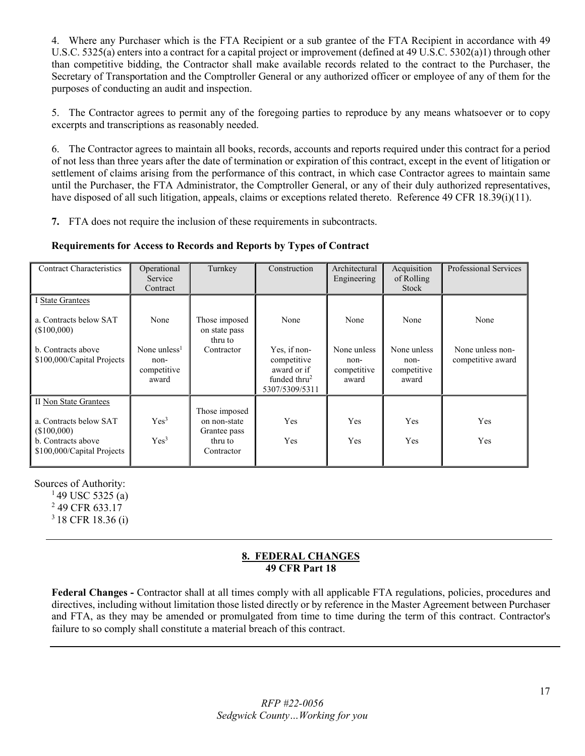4. Where any Purchaser which is the FTA Recipient or a sub grantee of the FTA Recipient in accordance with 49 U.S.C. 5325(a) enters into a contract for a capital project or improvement (defined at 49 U.S.C. 5302(a)1) through other than competitive bidding, the Contractor shall make available records related to the contract to the Purchaser, the Secretary of Transportation and the Comptroller General or any authorized officer or employee of any of them for the purposes of conducting an audit and inspection.

5. The Contractor agrees to permit any of the foregoing parties to reproduce by any means whatsoever or to copy excerpts and transcriptions as reasonably needed.

6. The Contractor agrees to maintain all books, records, accounts and reports required under this contract for a period of not less than three years after the date of termination or expiration of this contract, except in the event of litigation or settlement of claims arising from the performance of this contract, in which case Contractor agrees to maintain same until the Purchaser, the FTA Administrator, the Comptroller General, or any of their duly authorized representatives, have disposed of all such litigation, appeals, claims or exceptions related thereto. Reference 49 CFR 18.39(i)(11).

**7.** FTA does not require the inclusion of these requirements in subcontracts.

### **Requirements for Access to Records and Reports by Types of Contract**

| <b>Contract Characteristics</b>                                                                                    | Operational<br>Service<br>Contract                               | Turnkey                                                                | Construction                                                                            | Architectural<br>Engineering                        | Acquisition<br>of Rolling<br>Stock                  | <b>Professional Services</b>                  |
|--------------------------------------------------------------------------------------------------------------------|------------------------------------------------------------------|------------------------------------------------------------------------|-----------------------------------------------------------------------------------------|-----------------------------------------------------|-----------------------------------------------------|-----------------------------------------------|
| I State Grantees<br>a. Contracts below SAT<br>(S100,000)<br>b. Contracts above<br>\$100,000/Capital Projects       | None<br>None unless <sup>1</sup><br>non-<br>competitive<br>award | Those imposed<br>on state pass<br>thru to<br>Contractor                | None<br>Yes, if non-<br>competitive<br>award or if<br>funded thru $2$<br>5307/5309/5311 | None<br>None unless<br>non-<br>competitive<br>award | None<br>None unless<br>non-<br>competitive<br>award | None<br>None unless non-<br>competitive award |
| II Non State Grantees<br>a. Contracts below SAT<br>(\$100,000)<br>b. Contracts above<br>\$100,000/Capital Projects | Yes <sup>3</sup><br>Yes <sup>3</sup>                             | Those imposed<br>on non-state<br>Grantee pass<br>thru to<br>Contractor | Yes<br>Yes                                                                              | Yes<br>Yes                                          | <b>Yes</b><br>Yes                                   | Yes<br>Yes                                    |

Sources of Authority:

 $149$  USC 5325 (a) 2 49 CFR 633.17

3 18 CFR 18.36 (i)

### **8. FEDERAL CHANGES 49 CFR Part 18**

**Federal Changes -** Contractor shall at all times comply with all applicable FTA regulations, policies, procedures and directives, including without limitation those listed directly or by reference in the Master Agreement between Purchaser and FTA, as they may be amended or promulgated from time to time during the term of this contract. Contractor's failure to so comply shall constitute a material breach of this contract.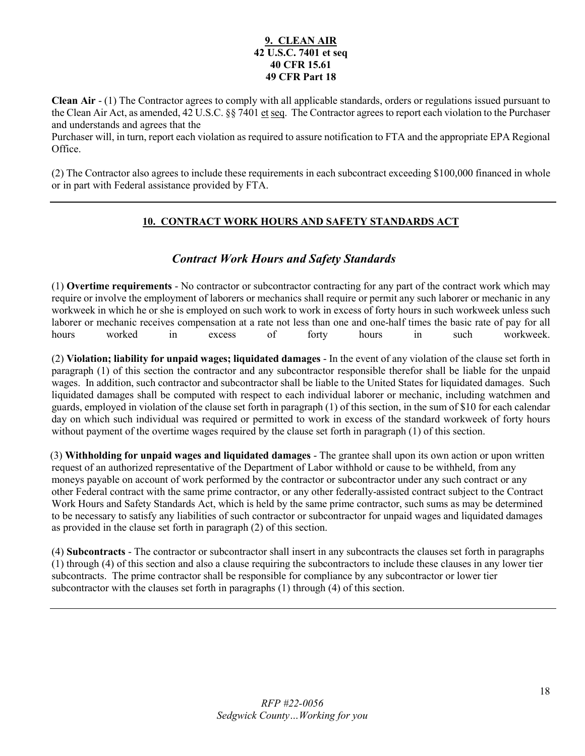### **9. CLEAN AIR 42 U.S.C. 7401 et seq 40 CFR 15.61 49 CFR Part 18**

**Clean Air** - (1) The Contractor agrees to comply with all applicable standards, orders or regulations issued pursuant to the Clean Air Act, as amended, 42 U.S.C. §§ 7401 et seq. The Contractor agrees to report each violation to the Purchaser and understands and agrees that the

Purchaser will, in turn, report each violation as required to assure notification to FTA and the appropriate EPA Regional Office.

(2) The Contractor also agrees to include these requirements in each subcontract exceeding \$100,000 financed in whole or in part with Federal assistance provided by FTA.

### **10. CONTRACT WORK HOURS AND SAFETY STANDARDS ACT**

## *Contract Work Hours and Safety Standards*

(1) **Overtime requirements** - No contractor or subcontractor contracting for any part of the contract work which may require or involve the employment of laborers or mechanics shall require or permit any such laborer or mechanic in any workweek in which he or she is employed on such work to work in excess of forty hours in such workweek unless such laborer or mechanic receives compensation at a rate not less than one and one-half times the basic rate of pay for all hours worked in excess of forty hours in such workweek.

(2) **Violation; liability for unpaid wages; liquidated damages** - In the event of any violation of the clause set forth in paragraph (1) of this section the contractor and any subcontractor responsible therefor shall be liable for the unpaid wages. In addition, such contractor and subcontractor shall be liable to the United States for liquidated damages. Such liquidated damages shall be computed with respect to each individual laborer or mechanic, including watchmen and guards, employed in violation of the clause set forth in paragraph (1) of this section, in the sum of \$10 for each calendar day on which such individual was required or permitted to work in excess of the standard workweek of forty hours without payment of the overtime wages required by the clause set forth in paragraph (1) of this section.

 (3) **Withholding for unpaid wages and liquidated damages** - The grantee shall upon its own action or upon written request of an authorized representative of the Department of Labor withhold or cause to be withheld, from any moneys payable on account of work performed by the contractor or subcontractor under any such contract or any other Federal contract with the same prime contractor, or any other federally-assisted contract subject to the Contract Work Hours and Safety Standards Act, which is held by the same prime contractor, such sums as may be determined to be necessary to satisfy any liabilities of such contractor or subcontractor for unpaid wages and liquidated damages as provided in the clause set forth in paragraph (2) of this section.

(4) **Subcontracts** - The contractor or subcontractor shall insert in any subcontracts the clauses set forth in paragraphs (1) through (4) of this section and also a clause requiring the subcontractors to include these clauses in any lower tier subcontracts. The prime contractor shall be responsible for compliance by any subcontractor or lower tier subcontractor with the clauses set forth in paragraphs (1) through (4) of this section.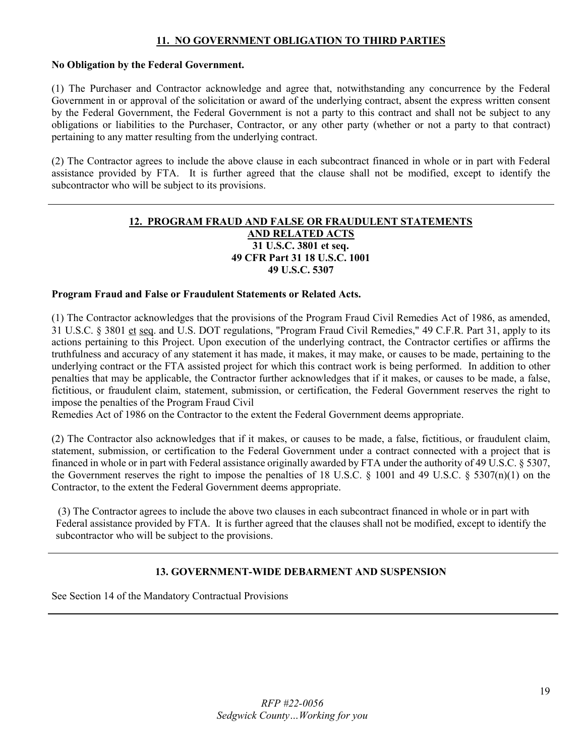### **11. NO GOVERNMENT OBLIGATION TO THIRD PARTIES**

### **No Obligation by the Federal Government.**

(1) The Purchaser and Contractor acknowledge and agree that, notwithstanding any concurrence by the Federal Government in or approval of the solicitation or award of the underlying contract, absent the express written consent by the Federal Government, the Federal Government is not a party to this contract and shall not be subject to any obligations or liabilities to the Purchaser, Contractor, or any other party (whether or not a party to that contract) pertaining to any matter resulting from the underlying contract.

(2) The Contractor agrees to include the above clause in each subcontract financed in whole or in part with Federal assistance provided by FTA. It is further agreed that the clause shall not be modified, except to identify the subcontractor who will be subject to its provisions.

### **12. PROGRAM FRAUD AND FALSE OR FRAUDULENT STATEMENTS AND RELATED ACTS 31 U.S.C. 3801 et seq. 49 CFR Part 31 18 U.S.C. 1001 49 U.S.C. 5307**

### **Program Fraud and False or Fraudulent Statements or Related Acts.**

(1) The Contractor acknowledges that the provisions of the Program Fraud Civil Remedies Act of 1986, as amended, 31 U.S.C. § 3801 et seq. and U.S. DOT regulations, "Program Fraud Civil Remedies," 49 C.F.R. Part 31, apply to its actions pertaining to this Project. Upon execution of the underlying contract, the Contractor certifies or affirms the truthfulness and accuracy of any statement it has made, it makes, it may make, or causes to be made, pertaining to the underlying contract or the FTA assisted project for which this contract work is being performed. In addition to other penalties that may be applicable, the Contractor further acknowledges that if it makes, or causes to be made, a false, fictitious, or fraudulent claim, statement, submission, or certification, the Federal Government reserves the right to impose the penalties of the Program Fraud Civil

Remedies Act of 1986 on the Contractor to the extent the Federal Government deems appropriate.

(2) The Contractor also acknowledges that if it makes, or causes to be made, a false, fictitious, or fraudulent claim, statement, submission, or certification to the Federal Government under a contract connected with a project that is financed in whole or in part with Federal assistance originally awarded by FTA under the authority of 49 U.S.C. § 5307, the Government reserves the right to impose the penalties of 18 U.S.C. § 1001 and 49 U.S.C. § 5307(n)(1) on the Contractor, to the extent the Federal Government deems appropriate.

 (3) The Contractor agrees to include the above two clauses in each subcontract financed in whole or in part with Federal assistance provided by FTA. It is further agreed that the clauses shall not be modified, except to identify the subcontractor who will be subject to the provisions.

### **13. GOVERNMENT-WIDE DEBARMENT AND SUSPENSION**

See Section 14 of the Mandatory Contractual Provisions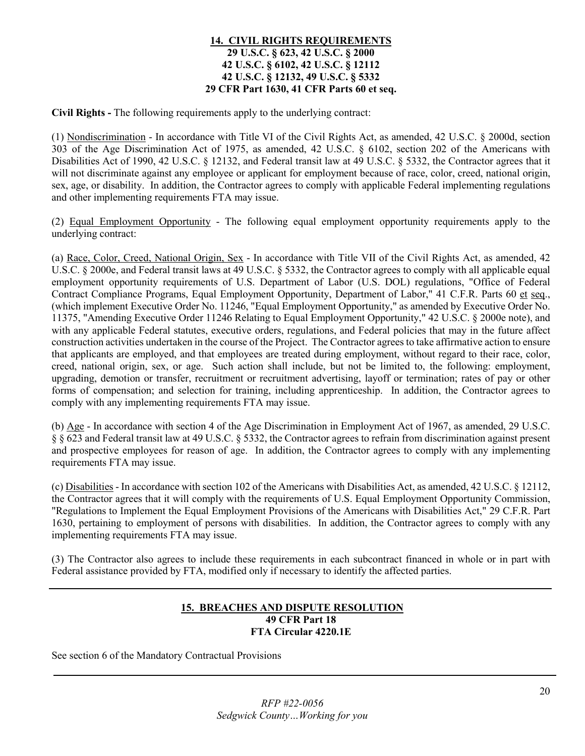### **14. CIVIL RIGHTS REQUIREMENTS 29 U.S.C. § 623, 42 U.S.C. § 2000 42 U.S.C. § 6102, 42 U.S.C. § 12112 42 U.S.C. § 12132, 49 U.S.C. § 5332 29 CFR Part 1630, 41 CFR Parts 60 et seq.**

**Civil Rights -** The following requirements apply to the underlying contract:

(1) Nondiscrimination - In accordance with Title VI of the Civil Rights Act, as amended, 42 U.S.C. § 2000d, section 303 of the Age Discrimination Act of 1975, as amended, 42 U.S.C. § 6102, section 202 of the Americans with Disabilities Act of 1990, 42 U.S.C. § 12132, and Federal transit law at 49 U.S.C. § 5332, the Contractor agrees that it will not discriminate against any employee or applicant for employment because of race, color, creed, national origin, sex, age, or disability. In addition, the Contractor agrees to comply with applicable Federal implementing regulations and other implementing requirements FTA may issue.

(2) Equal Employment Opportunity - The following equal employment opportunity requirements apply to the underlying contract:

(a) Race, Color, Creed, National Origin, Sex - In accordance with Title VII of the Civil Rights Act, as amended, 42 U.S.C. § 2000e, and Federal transit laws at 49 U.S.C. § 5332, the Contractor agrees to comply with all applicable equal employment opportunity requirements of U.S. Department of Labor (U.S. DOL) regulations, "Office of Federal Contract Compliance Programs, Equal Employment Opportunity, Department of Labor," 41 C.F.R. Parts 60 et seq., (which implement Executive Order No. 11246, "Equal Employment Opportunity," as amended by Executive Order No. 11375, "Amending Executive Order 11246 Relating to Equal Employment Opportunity," 42 U.S.C. § 2000e note), and with any applicable Federal statutes, executive orders, regulations, and Federal policies that may in the future affect construction activities undertaken in the course of the Project. The Contractor agrees to take affirmative action to ensure that applicants are employed, and that employees are treated during employment, without regard to their race, color, creed, national origin, sex, or age. Such action shall include, but not be limited to, the following: employment, upgrading, demotion or transfer, recruitment or recruitment advertising, layoff or termination; rates of pay or other forms of compensation; and selection for training, including apprenticeship. In addition, the Contractor agrees to comply with any implementing requirements FTA may issue.

(b) Age - In accordance with section 4 of the Age Discrimination in Employment Act of 1967, as amended, 29 U.S.C. § § 623 and Federal transit law at 49 U.S.C. § 5332, the Contractor agrees to refrain from discrimination against present and prospective employees for reason of age. In addition, the Contractor agrees to comply with any implementing requirements FTA may issue.

(c) Disabilities - In accordance with section 102 of the Americans with Disabilities Act, as amended, 42 U.S.C. § 12112, the Contractor agrees that it will comply with the requirements of U.S. Equal Employment Opportunity Commission, "Regulations to Implement the Equal Employment Provisions of the Americans with Disabilities Act," 29 C.F.R. Part 1630, pertaining to employment of persons with disabilities. In addition, the Contractor agrees to comply with any implementing requirements FTA may issue.

(3) The Contractor also agrees to include these requirements in each subcontract financed in whole or in part with Federal assistance provided by FTA, modified only if necessary to identify the affected parties.

### **15. BREACHES AND DISPUTE RESOLUTION 49 CFR Part 18 FTA Circular 4220.1E**

See section 6 of the Mandatory Contractual Provisions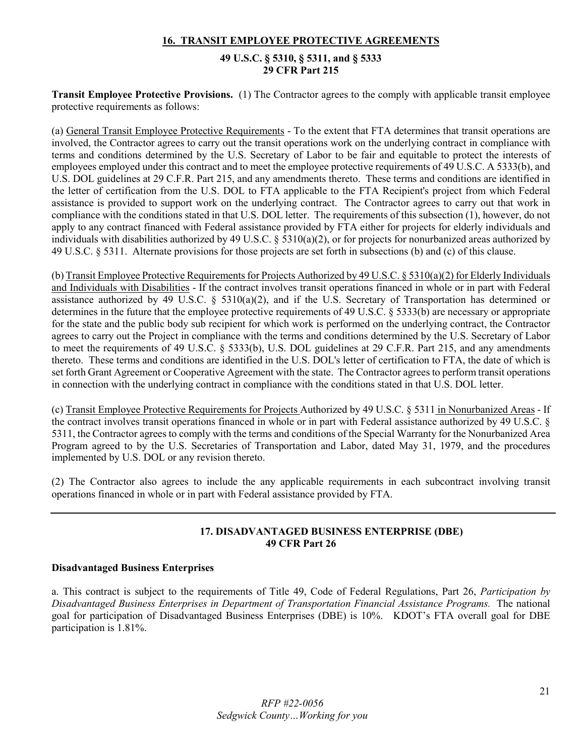### **16. TRANSIT EMPLOYEE PROTECTIVE AGREEMENTS**

### **49 U.S.C. § 5310, § 5311, and § 5333 29 CFR Part 215**

**Transit Employee Protective Provisions.** (1) The Contractor agrees to the comply with applicable transit employee protective requirements as follows:

(a) General Transit Employee Protective Requirements - To the extent that FTA determines that transit operations are involved, the Contractor agrees to carry out the transit operations work on the underlying contract in compliance with terms and conditions determined by the U.S. Secretary of Labor to be fair and equitable to protect the interests of employees employed under this contract and to meet the employee protective requirements of 49 U.S.C. A 5333(b), and U.S. DOL guidelines at 29 C.F.R. Part 215, and any amendments thereto. These terms and conditions are identified in the letter of certification from the U.S. DOL to FTA applicable to the FTA Recipient's project from which Federal assistance is provided to support work on the underlying contract. The Contractor agrees to carry out that work in compliance with the conditions stated in that U.S. DOL letter. The requirements of this subsection (1), however, do not apply to any contract financed with Federal assistance provided by FTA either for projects for elderly individuals and individuals with disabilities authorized by 49 U.S.C. § 5310(a)(2), or for projects for nonurbanized areas authorized by 49 U.S.C. § 5311. Alternate provisions for those projects are set forth in subsections (b) and (c) of this clause.

(b) Transit Employee Protective Requirements for Projects Authorized by 49 U.S.C. § 5310(a)(2) for Elderly Individuals and Individuals with Disabilities - If the contract involves transit operations financed in whole or in part with Federal assistance authorized by 49 U.S.C. § 5310(a)(2), and if the U.S. Secretary of Transportation has determined or determines in the future that the employee protective requirements of 49 U.S.C. § 5333(b) are necessary or appropriate for the state and the public body sub recipient for which work is performed on the underlying contract, the Contractor agrees to carry out the Project in compliance with the terms and conditions determined by the U.S. Secretary of Labor to meet the requirements of 49 U.S.C. § 5333(b), U.S. DOL guidelines at 29 C.F.R. Part 215, and any amendments thereto. These terms and conditions are identified in the U.S. DOL's letter of certification to FTA, the date of which is set forth Grant Agreement or Cooperative Agreement with the state. The Contractor agrees to perform transit operations in connection with the underlying contract in compliance with the conditions stated in that U.S. DOL letter.

(c) Transit Employee Protective Requirements for Projects Authorized by 49 U.S.C. § 5311 in Nonurbanized Areas - If the contract involves transit operations financed in whole or in part with Federal assistance authorized by 49 U.S.C. § 5311, the Contractor agrees to comply with the terms and conditions of the Special Warranty for the Nonurbanized Area Program agreed to by the U.S. Secretaries of Transportation and Labor, dated May 31, 1979, and the procedures implemented by U.S. DOL or any revision thereto.

(2) The Contractor also agrees to include the any applicable requirements in each subcontract involving transit operations financed in whole or in part with Federal assistance provided by FTA.

### **17. DISADVANTAGED BUSINESS ENTERPRISE (DBE) 49 CFR Part 26**

### **Disadvantaged Business Enterprises**

a. This contract is subject to the requirements of Title 49, Code of Federal Regulations, Part 26, *Participation by Disadvantaged Business Enterprises in Department of Transportation Financial Assistance Programs.* The national goal for participation of Disadvantaged Business Enterprises (DBE) is 10%. KDOT's FTA overall goal for DBE participation is 1.81%.